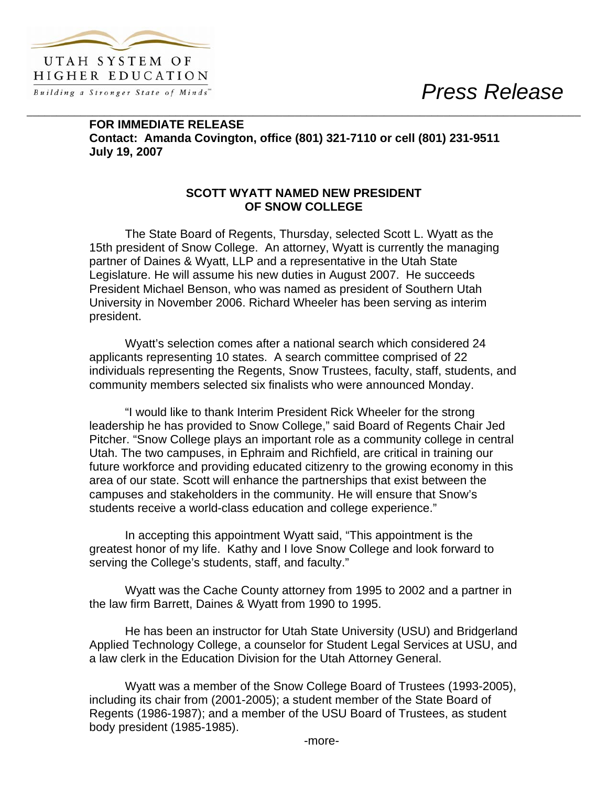*Press Release* 



**FOR IMMEDIATE RELEASE Contact: Amanda Covington, office (801) 321-7110 or cell (801) 231-9511 July 19, 2007** 

\_\_\_\_\_\_\_\_\_\_\_\_\_\_\_\_\_\_\_\_\_\_\_\_\_\_\_\_\_\_\_\_\_\_\_\_\_\_\_\_\_\_\_\_\_\_\_\_\_\_\_\_\_\_\_\_\_\_\_\_\_\_\_\_\_\_\_\_\_\_\_\_\_\_\_\_\_\_\_\_\_\_\_\_\_\_\_\_\_\_\_\_\_

## **SCOTT WYATT NAMED NEW PRESIDENT OF SNOW COLLEGE**

The State Board of Regents, Thursday, selected Scott L. Wyatt as the 15th president of Snow College. An attorney, Wyatt is currently the managing partner of Daines & Wyatt, LLP and a representative in the Utah State Legislature. He will assume his new duties in August 2007. He succeeds President Michael Benson, who was named as president of Southern Utah University in November 2006. Richard Wheeler has been serving as interim president.

 Wyatt's selection comes after a national search which considered 24 applicants representing 10 states. A search committee comprised of 22 individuals representing the Regents, Snow Trustees, faculty, staff, students, and community members selected six finalists who were announced Monday.

 "I would like to thank Interim President Rick Wheeler for the strong leadership he has provided to Snow College," said Board of Regents Chair Jed Pitcher. "Snow College plays an important role as a community college in central Utah. The two campuses, in Ephraim and Richfield, are critical in training our future workforce and providing educated citizenry to the growing economy in this area of our state. Scott will enhance the partnerships that exist between the campuses and stakeholders in the community. He will ensure that Snow's students receive a world-class education and college experience."

 In accepting this appointment Wyatt said, "This appointment is the greatest honor of my life. Kathy and I love Snow College and look forward to serving the College's students, staff, and faculty."

Wyatt was the Cache County attorney from 1995 to 2002 and a partner in the law firm Barrett, Daines & Wyatt from 1990 to 1995.

He has been an instructor for Utah State University (USU) and Bridgerland Applied Technology College, a counselor for Student Legal Services at USU, and a law clerk in the Education Division for the Utah Attorney General.

Wyatt was a member of the Snow College Board of Trustees (1993-2005), including its chair from (2001-2005); a student member of the State Board of Regents (1986-1987); and a member of the USU Board of Trustees, as student body president (1985-1985).